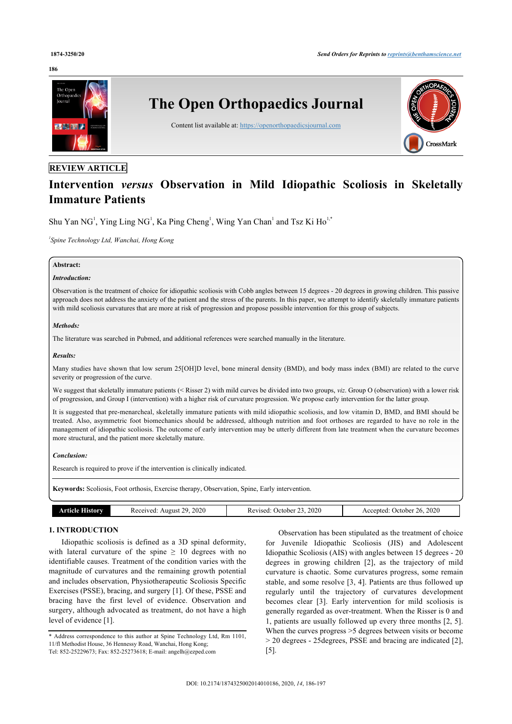#### **186**



# **REVIEW ARTICLE**

# **Intervention** *versus* **Observation in Mild Idiopathic Scoliosis in Skeletally Immature Patients**

Shu Yan NG<sup>[1](#page-0-0)</sup>, Ying Ling NG<sup>1</sup>, Ka Ping Cheng<sup>1</sup>, Wing Yan Chan<sup>1</sup> and Tsz Ki Ho<sup>[1,](#page-0-0)[\\*](#page-0-1)</sup>

<span id="page-0-0"></span>*1 Spine Technology Ltd, Wanchai, Hong Kong*

# **Abstract:**

# *Introduction:*

Observation is the treatment of choice for idiopathic scoliosis with Cobb angles between 15 degrees - 20 degrees in growing children. This passive approach does not address the anxiety of the patient and the stress of the parents. In this paper, we attempt to identify skeletally immature patients with mild scoliosis curvatures that are more at risk of progression and propose possible intervention for this group of subjects.

#### *Methods:*

The literature was searched in Pubmed, and additional references were searched manually in the literature.

### *Results:*

Many studies have shown that low serum 25[OH]D level, bone mineral density (BMD), and body mass index (BMI) are related to the curve severity or progression of the curve.

We suggest that skeletally immature patients (< Risser 2) with mild curves be divided into two groups, *viz*. Group O (observation) with a lower risk of progression, and Group I (intervention) with a higher risk of curvature progression. We propose early intervention for the latter group.

It is suggested that pre-menarcheal, skeletally immature patients with mild idiopathic scoliosis, and low vitamin D, BMD, and BMI should be treated. Also, asymmetric foot biomechanics should be addressed, although nutrition and foot orthoses are regarded to have no role in the management of idiopathic scoliosis. The outcome of early intervention may be utterly different from late treatment when the curvature becomes more structural, and the patient more skeletally mature.

#### *Conclusion:*

Research is required to prove if the intervention is clinically indicated.

**Keywords:** Scoliosis, Foot orthosis, Exercise therapy, Observation, Spine, Early intervention.

| $\sim 0.01$ | 2020<br>20<br>eceived:<br>Anonst | 2020<br>October<br>Revised | 2020<br>accented:<br>Jefober<br>---- |
|-------------|----------------------------------|----------------------------|--------------------------------------|

### **1. INTRODUCTION**

Idiopathic scoliosis is defined as a 3D spinal deformity, with lateral curvature of the spine  $\geq 10$  degrees with no identifiable causes. Treatment of the condition varies with the magnitude of curvatures and the remaining growth potential and includes observation, Physiotherapeutic Scoliosis Specific Exercises (PSSE), bracing, and surgery [[1](#page-9-0)]. Of these, PSSE and bracing have the first level of evidence. Observation and surgery, although advocated as treatment, do not have a high level of evidence [\[1\]](#page-9-0).

Observation has been stipulated as the treatment of choice for Juvenile Idiopathic Scoliosis (JIS) and Adolescent Idiopathic Scoliosis (AIS) with angles between 15 degrees - 20 degrees in growing children[[2](#page-9-1)], as the trajectory of mild curvature is chaotic. Some curvatures progress, some remain stable, and some resolve [[3](#page-9-2), [4](#page-9-3)]. Patients are thus followed up regularly until the trajectory of curvatures development becomes clear [\[3\]](#page-9-2). Early intervention for mild scoliosis is generally regarded as over-treatment. When the Risser is 0 and 1, patients are usually followed up every three months [[2,](#page-9-1) [5](#page-9-4)]. When the curves progress >5 degrees between visits or become > 20 degrees - 25degrees, PSSE and bracing are indicated [[2](#page-9-1)], [[5](#page-9-4)].

<span id="page-0-1"></span><sup>\*</sup> Address correspondence to this author at Spine Technology Ltd, Rm 1101, 11/fl Methodist House, 36 Hennessy Road, Wanchai, Hong Kong; Tel: 852-25229673; Fax: 852-25273618; E-mail: [angelh@ezped.com](mailto:angelh@ezped.com)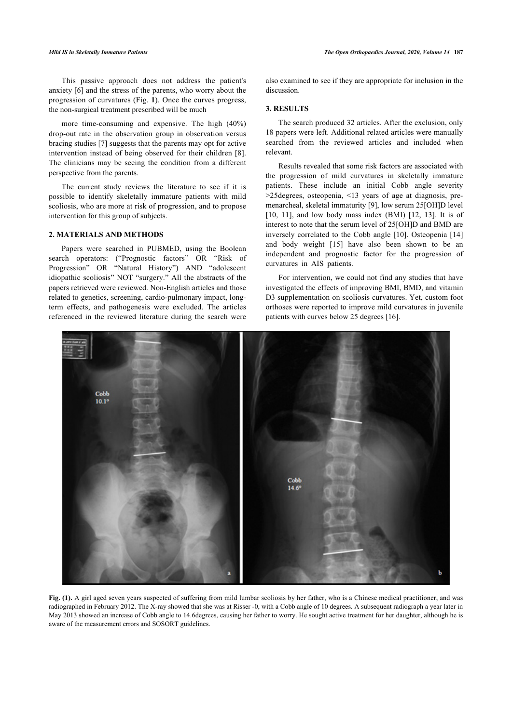This passive approach does not address the patient's anxiety [[6](#page-9-5)] and the stress of the parents, who worry about the progression of curvatures (Fig. **[1](#page-1-0)**). Once the curves progress, the non-surgical treatment prescribed will be much

more time-consuming and expensive. The high (40%) drop-out rate in the observation group in observation versus bracing studies [\[7\]](#page-9-6) suggests that the parents may opt for active intervention instead of being observed for their children [\[8\]](#page-9-7). The clinicians may be seeing the condition from a different perspective from the parents.

The current study reviews the literature to see if it is possible to identify skeletally immature patients with mild scoliosis, who are more at risk of progression, and to propose intervention for this group of subjects.

#### **2. MATERIALS AND METHODS**

Papers were searched in PUBMED, using the Boolean search operators: ("Prognostic factors" OR "Risk of Progression" OR "Natural History") AND "adolescent idiopathic scoliosis" NOT "surgery." All the abstracts of the papers retrieved were reviewed. Non-English articles and those related to genetics, screening, cardio-pulmonary impact, longterm effects, and pathogenesis were excluded. The articles referenced in the reviewed literature during the search were also examined to see if they are appropriate for inclusion in the discussion.

#### **3. RESULTS**

The search produced 32 articles. After the exclusion, only 18 papers were left. Additional related articles were manually searched from the reviewed articles and included when relevant.

Results revealed that some risk factors are associated with the progression of mild curvatures in skeletally immature patients. These include an initial Cobb angle severity >25degrees, osteopenia, <13 years of age at diagnosis, premenarcheal, skeletal immaturity [\[9\]](#page-10-0), low serum 25[OH]D level [[10](#page-10-1), [11](#page-10-2)], and low body mass index (BMI) [\[12,](#page-10-3) [13\]](#page-10-4). It is of interest to note that the serum level of 25[OH]D and BMD are inversely correlated to the Cobb angle [[10\]](#page-10-1). Osteopenia [\[14\]](#page-10-5) and body weight[[15\]](#page-10-6) have also been shown to be an independent and prognostic factor for the progression of curvatures in AIS patients.

For intervention, we could not find any studies that have investigated the effects of improving BMI, BMD, and vitamin D3 supplementation on scoliosis curvatures. Yet, custom foot orthoses were reported to improve mild curvatures in juvenile patients with curves below 25 degrees [\[16](#page-10-7)].

<span id="page-1-0"></span>

**Fig. (1).** A girl aged seven years suspected of suffering from mild lumbar scoliosis by her father, who is a Chinese medical practitioner, and was radiographed in February 2012. The X-ray showed that she was at Risser -0, with a Cobb angle of 10 degrees. A subsequent radiograph a year later in May 2013 showed an increase of Cobb angle to 14.6degrees, causing her father to worry. He sought active treatment for her daughter, although he is aware of the measurement errors and SOSORT guidelines.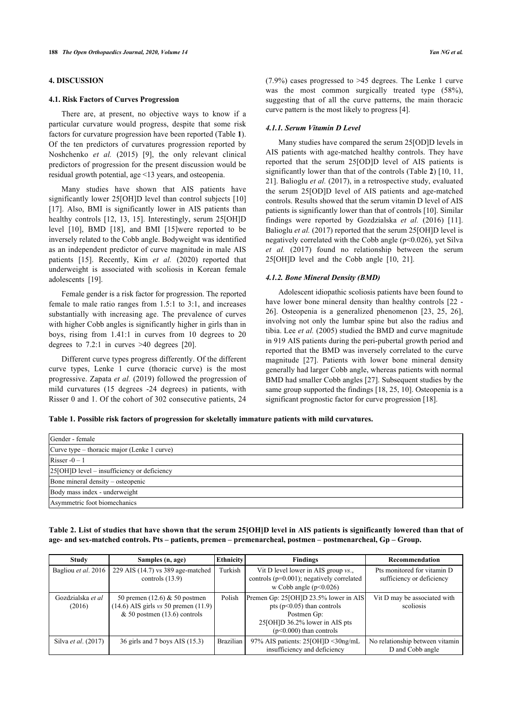# **4. DISCUSSION**

#### **4.1. Risk Factors of Curves Progression**

There are, at present, no objective ways to know if a particular curvature would progress, despite that some risk factors for curvature progression have been reported (Table **[1](#page-2-0)**). Of the ten predictors of curvatures progression reported by Noshchenko *et al.* (2015)[[9\]](#page-10-0), the only relevant clinical predictors of progression for the present discussion would be residual growth potential, age <13 years, and osteopenia.

Many studies have shown that AIS patients have significantly lower 25[OH]D level than control subjects [[10](#page-10-1)] [[17\]](#page-10-8). Also, BMI is significantly lower in AIS patients than health[y co](#page-10-1)ntrols[[12](#page-10-3)[,](#page-10-9) [13](#page-10-4), [15](#page-10-6)]. Intere[stin](#page-10-6)gly, serum 25[OH]D level [10], BMD [18], and BMI [15]were reported to be inversely related to the Cobb angle. Bodyweight was identified as an ind[epen](#page-10-6)dent predictor of curve magnitude in male AIS patients [15]. Recently, Kim *et al.* (2020) reported that underweight [is](#page-10-10) associated with scoliosis in Korean female adolescents [19].

Female gender is a risk factor for progression. The reported female to male ratio ranges from 1.5:1 to 3:1, and increases substantially with increasing age. The prevalence of curves with higher Cobb angles is significantly higher in girls than in boys, rising from 1.41:1 in curves fro[m 1](#page-10-11)0 degrees to 20 degrees to 7.2:1 in curves >40 degrees [20].

Different curve types progress differently. Of the different curve types, Lenke 1 curve (thoracic curve) is the most progressive. Zapata *et al.* (2019) followed the progression of mild curvatures (15 degrees -24 degrees) in patients, with Risser 0 and 1. Of the cohort of 302 consecutive patients, 24

(7.9%) cases progressed to >45 degrees. The Lenke 1 curve was the most common surgically treated type  $(58\%)$ , suggesting that of all the curve patterns, the main thoracic curve pattern is the most likely to progress [\[4\]](#page-9-3).

#### *4.1.1. Serum Vitamin D Level*

Many studies have compared the serum 25[OD]D levels in AIS patients with age-matched healthy controls. They have reported that the serum 25[OD]D level of AIS patients is significantly lower than that of the controls (Table **[2](#page-2-1)**) [[10](#page-10-1), [11](#page-10-2), [21](#page-10-12)]. Balioglu *et al.* (2017), in a retrospective study, evaluated the serum 25[OD]D level of AIS patients and age-matched controls. Results showed that the serum vitamin D level of AIS patients is significantly lower than that of controls [\[10\]](#page-10-1). Similar findings were reported by Gozdzialska *et al.* (2016)[[11](#page-10-2)]. Balioglu *et al.* (2017) reported that the serum 25[OH]D level is negatively correlated with the Cobb angle  $(p<0.026)$ , yet Silva *et al.* (2017) found no relationship between the serum 25[OH]D level and the Cobb angle [\[10](#page-10-1), [21\]](#page-10-12).

#### *4.1.2. Bone Mineral Density (BMD)*

Adolescent idiopathic scoliosis patients have been found to have lower bone mineral density than healthy controls  $[22 [22 [22 -$ [26](#page-10-14)]. Osteopenia is a generalized phenomenon[[23](#page-10-15), [25,](#page-10-16) [26](#page-10-14)], involving not only the lumbar spine but also the radius and tibia. Lee *et al.* (2005) studied the BMD and curve magnitude in 919 AIS patients during the peri-pubertal growth period and reported that the BMD was inversely correlated to the curve magnitude[[27\]](#page-10-17). Patients with lower bone mineral density generally had larger Cobb angle, whereas patients with normal BMD had smaller Cobb angles [\[27](#page-10-17)]. Subsequent studies by the same group supported the findings [\[18,](#page-10-9) [25](#page-10-16), [10\]](#page-10-1). Osteopenia is a significant prognostic factor for curve progression [[18\]](#page-10-9).

<span id="page-2-0"></span>**Table 1. Possible risk factors of progression for skeletally immature patients with mild curvatures.**

| Gender - female                             |
|---------------------------------------------|
| Curve type – thoracic major (Lenke 1 curve) |
| Risser $-0-1$                               |
| 25[OH]D level – insufficiency or deficiency |
| Bone mineral density – osteopenic           |
| Body mass index - underweight               |
| Asymmetric foot biomechanics                |

<span id="page-2-1"></span>**Table 2. List of studies that have shown that the serum 25[OH]D level in AIS patients is significantly lowered than that of age- and sex-matched controls. Pts – patients, premen – premenarcheal, postmen – postmenarcheal, Gp – Group.**

| Study                       | Samples (n, age)                                                                                              | <b>Ethnicity</b> | <b>Findings</b>                                                                                                                                       | Recommendation                                           |
|-----------------------------|---------------------------------------------------------------------------------------------------------------|------------------|-------------------------------------------------------------------------------------------------------------------------------------------------------|----------------------------------------------------------|
| Bagliou et al. 2016         | 229 AIS (14.7) vs 389 age-matched<br>controls $(13.9)$                                                        | Turkish          | Vit D level lower in AIS group vs.,<br>controls $(p=0.001)$ ; negatively correlated<br>w Cobb angle $(p<0.026)$                                       | Pts monitored for vitamin D<br>sufficiency or deficiency |
| Gozdzialska et al<br>(2016) | 50 premen $(12.6)$ & 50 postmen<br>$(14.6)$ AIS girls vs 50 premen $(11.9)$<br>$& 50$ postmen (13.6) controls | Polish           | Premen Gp: 25[OH]D 23.5% lower in AIS<br>pts ( $p<0.05$ ) than controls<br>Postmen Gp:<br>25[OH]D 36.2% lower in AIS pts<br>$(p<0.000)$ than controls | Vit D may be associated with<br>scoliosis                |
| Silva <i>et al.</i> (2017)  | 36 girls and 7 boys AIS (15.3)                                                                                | <b>Brazilian</b> | 97% AIS patients: $25[OH]D < 30$ ng/mL<br>insufficiency and deficiency                                                                                | No relationship between vitamin<br>D and Cobb angle      |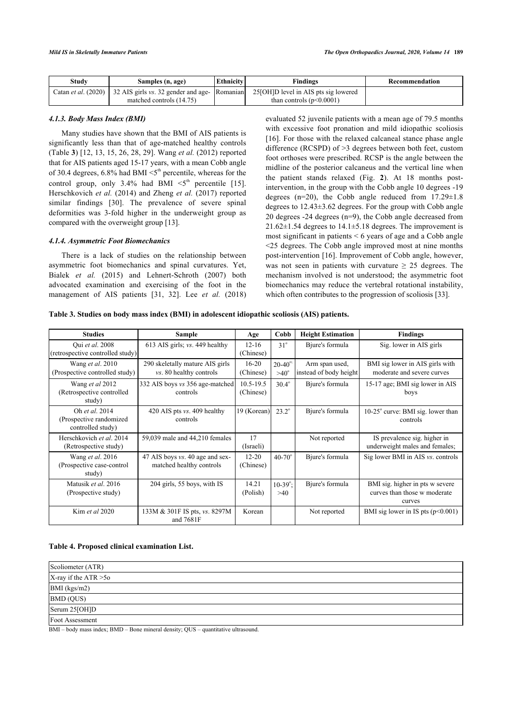| Study | Samples (n, age)                                                                 | Ethnicity | Findings                               | Recommendation |
|-------|----------------------------------------------------------------------------------|-----------|----------------------------------------|----------------|
|       | Catan <i>et al.</i> (2020) 32 AIS girls <i>vs.</i> 32 gender and age- [Romanian] |           | 25 [OH] D level in AIS pts sig lowered |                |
|       | matched controls (14.75)                                                         |           | than controls $(p<0.0001)$             |                |

# *4.1.3. Body Mass Index (BMI)*

Many studies have shown that the BMI of AIS patients is significantly less than that of age-matched healthy controls (Table **[3](#page-3-0)**) [\[12,](#page-10-3) [13,](#page-10-4) [15,](#page-10-6) [26](#page-10-14), [28](#page-10-0), [29](#page-10-18)]. Wang *et al.* (2012) reported that for AIS patients aged 15-17 years, with a mean Cobb angle of 30.4 degrees,  $6.8\%$  had BMI  $\leq 5^{\text{th}}$  percentile, whereas for the controlgroup, only 3.4% had BMI  $\leq 5^{th}$  percentile [[15\]](#page-10-6). Herschkovich *et al.* (2014) and Zheng *et al.* (2017) reported similar findings[[30\]](#page-10-19). The prevalence of severe spinal deformities was 3-fold higher in the underweight group as compared with the overweight group [[13\]](#page-10-4).

### *4.1.4. Asymmetric Foot Biomechanics*

There is a lack of studies on the relationship between asymmetric foot biomechanics and spinal curvatures. Yet, Bialek *et al.* (2015) and Lehnert-Schroth (2007) both advocated examination and exercising of the foot in the management of AIS patients [\[31](#page-10-20), [32](#page-10-21)]. Lee *et al.* (2018) evaluated 52 juvenile patients with a mean age of 79.5 months with excessive foot pronation and mild idiopathic scoliosis [[16](#page-10-7)]. For those with the relaxed calcaneal stance phase angle difference (RCSPD) of >3 degrees between both feet, custom foot orthoses were prescribed. RCSP is the angle between the midline of the posterior calcaneus and the vertical line when the patient stands relaxed (Fig.**2**). At 18 months postintervention, in the group with the Cobb angle 10 degrees -19 degrees ( $n=20$ ), the Cobb angle reduced from  $17.29 \pm 1.8$ degrees to 12.43±3.62 degrees. For the group with Cobb angle 20 degrees -24 degrees (n=9), the Cobb angle decreased from  $21.62 \pm 1.54$  degrees to  $14.1 \pm 5.18$  degrees. The improvement is most significant in patients < 6 years of age and a Cobb angle <25 degrees. The Cobb angle improved most at nine months post-intervention [[16\]](#page-10-7). Improvement of Cobb angle, however, was not seen in patients with curvature  $\geq$  25 degrees. The mechanism involved is not understood; the asymmetric foot biomechanics may reduce the vertebral rotational instability, which often contributes to the progression of scoliosis [[33\]](#page-10-22).

<span id="page-3-0"></span>**Table 3. Studies on body mass index (BMI) in adolescent idiopathic scoliosis (AIS) patients.**

| <b>Studies</b>                                                 | Sample                                                            | Age                        | Cobb                             | <b>Height Estimation</b>                 | <b>Findings</b>                                                           |
|----------------------------------------------------------------|-------------------------------------------------------------------|----------------------------|----------------------------------|------------------------------------------|---------------------------------------------------------------------------|
| Qui et al. 2008<br>(retrospective controlled study)            | 613 AIS girls; $vs.$ 449 healthy                                  | $12 - 16$<br>(Chinese)     | $31^\circ$                       | Bjure's formula                          | Sig. lower in AIS girls                                                   |
| Wang et al. 2010<br>(Prospective controlled study)             | 290 skeletally mature AIS girls<br><i>vs.</i> 80 healthy controls | $16 - 20$<br>(Chinese)     | $20 - 40^{\circ}$<br>$>40^\circ$ | Arm span used,<br>instead of body height | BMI sig lower in AIS girls with<br>moderate and severe curves             |
| Wang et al 2012<br>(Retrospective controlled<br>study)         | 332 AIS boys vs 356 age-matched<br>controls                       | $10.5 - 19.5$<br>(Chinese) | $30.4^\circ$                     | Bjure's formula                          | 15-17 age; BMI sig lower in AIS<br>boys                                   |
| Oh et al. 2014<br>(Prospective randomized<br>controlled study) | 420 AIS pts vs. 409 healthy<br>controls                           | 19 (Korean)                | $23.2^{\circ}$                   | Bjure's formula                          | $10-25^\circ$ curve: BMI sig. lower than<br>controls                      |
| Herschkovich et al. 2014<br>(Retrospective study)              | 59,039 male and 44,210 females                                    | 17<br>(Israeli)            |                                  | Not reported                             | IS prevalence sig. higher in<br>underweight males and females;            |
| Wang et al. 2016<br>(Prospective case-control<br>study)        | 47 AIS boys vs. 40 age and sex-<br>matched healthy controls       | $12 - 20$<br>(Chinese)     | $40 - 70^{\circ}$                | Bjure's formula                          | Sig lower BMI in AIS vs. controls                                         |
| Matusik et al. 2016<br>(Prospective study)                     | 204 girls, 55 boys, with IS                                       | 14.21<br>(Polish)          | $10-39^\circ$ :<br>>40           | Bjure's formula                          | BMI sig. higher in pts w severe<br>curves than those w moderate<br>curves |
| Kim et al 2020                                                 | 133M & 301F IS pts, vs. 8297M<br>and 7681F                        | Korean                     |                                  | Not reported                             | BMI sig lower in IS pts $(p<0.001)$                                       |

#### <span id="page-3-2"></span>**Table 4. Proposed clinical examination List.**

| Scoliometer (ATR)         |  |
|---------------------------|--|
| $X$ -ray if the ATR $>50$ |  |
| BMI (kgs/m2)              |  |
| <b>BMD</b> (QUS)          |  |
| Serum 25[OH]D             |  |
| Foot Assessment           |  |

<span id="page-3-1"></span>BMI – body mass index; BMD – Bone mineral density; QUS – quantitative ultrasound.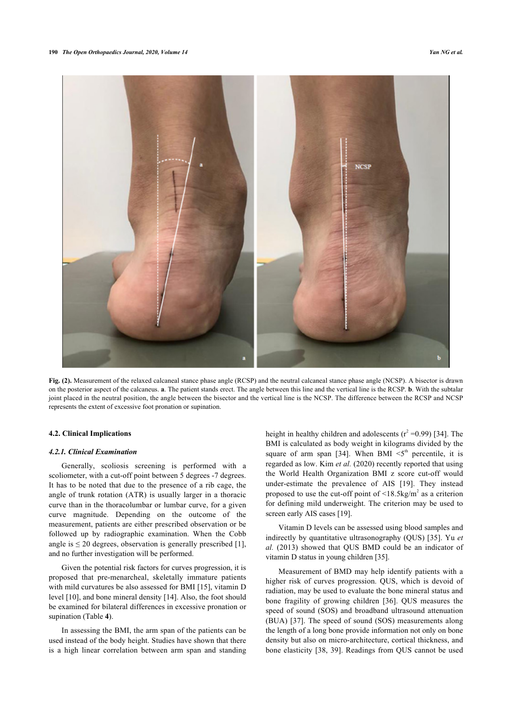

**Fig. (2).** Measurement of the relaxed calcaneal stance phase angle (RCSP) and the neutral calcaneal stance phase angle (NCSP). A bisector is drawn on the posterior aspect of the calcaneus. **a**. The patient stands erect. The angle between this line and the vertical line is the RCSP. **b**. With the subtalar joint placed in the neutral position, the angle between the bisector and the vertical line is the NCSP. The difference between the RCSP and NCSP represents the extent of excessive foot pronation or supination.

#### **4.2. Clinical Implications**

#### *4.2.1. Clinical Examination*

Generally, scoliosis screening is performed with a scoliometer, with a cut-off point between 5 degrees -7 degrees. It has to be noted that due to the presence of a rib cage, the angle of trunk rotation (ATR) is usually larger in a thoracic curve than in the thoracolumbar or lumbar curve, for a given curve magnitude. Depending on the outcome of the measurement, patients are either prescribed observation or be followed up by radiographic examination. When the Cobb angle is  $\leq 20$  degrees, observation is generally prescribed [\[1\]](#page-9-0), and no further investigation will be performed.

Given the potential risk factors for curves progression, it is proposed that pre-menarcheal, skeletally immature patients with mild curvatures be also assessed for BMI [[15\]](#page-10-6), vitamin D level [[10\]](#page-10-1), and bone mineral density [\[14](#page-10-5)]. Also, the foot should be examined for bilateral differences in excessive pronation or supination (Table **[4](#page-3-2)**).

In assessing the BMI, the arm span of the patients can be used instead of the body height. Studies have shown that there is a high linear correlation between arm span and standing

height in healthy children and adolescents  $(r^2 = 0.99)$  [\[34\]](#page-10-23). The BMI is calculated as body weight in kilograms divided by the square of arm span [\[34\]](#page-10-23). When BMI  $\leq 5$ <sup>th</sup> percentile, it is regarded as low. Kim *et al.* (2020) recently reported that using the World Health Organization BMI z score cut-off would under-estimate the prevalence of AIS[[19](#page-10-10)]. They instead proposed to use the cut-off point of  $\leq 18.5 \text{kg/m}^2$  as a criterion for defining mild underweight. The criterion may be used to screen early AIS cases [\[19](#page-10-10)].

Vitamin D levels can be assessed using blood samples and indirectly by quantitative ultrasonography (QUS) [[35](#page-10-24)]. Yu *et al.* (2013) showed that QUS BMD could be an indicator of vitamin D status in young children [[35\]](#page-10-24).

Measurement of BMD may help identify patients with a higher risk of curves progression. QUS, which is devoid of radiation, may be used to evaluate the bone mineral status and bone fragility of growing children [\[36\]](#page-10-25). QUS measures the speed of sound (SOS) and broadband ultrasound attenuation (BUA) [[37\]](#page-10-8). The speed of sound (SOS) measurements along the length of a long bone provide information not only on bone density but also on micro-architecture, cortical thickness, and bone elasticity [[38,](#page-10-10) [39\]](#page-10-12). Readings from QUS cannot be used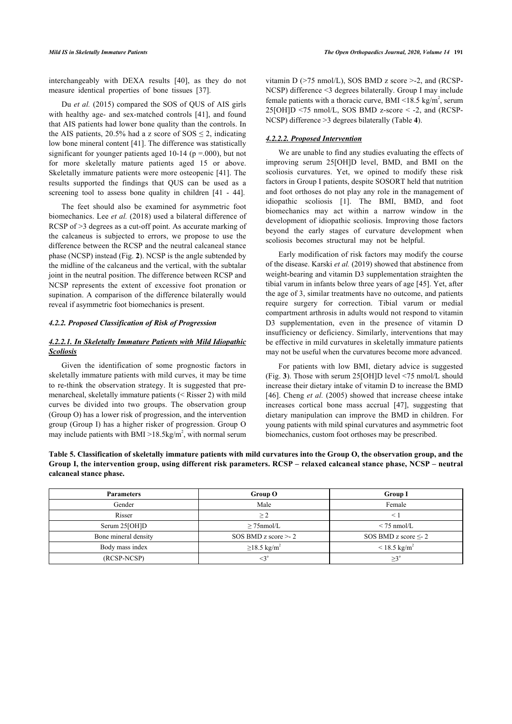interchangeably with DEXA results[[40](#page-10-26)], as they do not measure identical properties of bone tissues [\[37](#page-10-8)].

Du *et al.* (2015) compared the SOS of QUS of AIS girls with healthy age- and sex-matched controls[[41](#page-10-15)], and found that AIS patients had lower bone quality than the controls. In the AIS patients, 20.5% had a z score of  $SOS \le 2$ , indicating low bone mineral content [\[41](#page-10-15)]. The difference was statistically significant for younger patients aged 10-14 ( $p = .000$ ), but not for more skeletally mature patients aged 15 or above. Skeletally immature patients were more osteopenic [[41\]](#page-10-15). The results supported the findings that QUS can be used as a screening tool to assess bone quality in children [\[41](#page-10-15) - [44\]](#page-10-14).

The feet should also be examined for asymmetric foot biomechanics. Lee *et al.* (2018) used a bilateral difference of RCSP of >3 degrees as a cut-off point. As accurate marking of the calcaneus is subjected to errors, we propose to use the difference between the RCSP and the neutral calcaneal stance phase (NCSP) instead (Fig. **[2](#page-3-1)**). NCSP is the angle subtended by the midline of the calcaneus and the vertical, with the subtalar joint in the neutral position. The difference between RCSP and NCSP represents the extent of excessive foot pronation or supination. A comparison of the difference bilaterally would reveal if asymmetric foot biomechanics is present.

# *4.2.2. Proposed Classification of Risk of Progression*

# *4.2.2.1. In Skeletally Immature Patients with Mild Idiopathic Scoliosis*

Given the identification of some prognostic factors in skeletally immature patients with mild curves, it may be time to re-think the observation strategy. It is suggested that premenarcheal, skeletally immature patients (< Risser 2) with mild curves be divided into two groups. The observation group (Group O) has a lower risk of progression, and the intervention group (Group I) has a higher risker of progression. Group O may include patients with BMI  $>$ 18.5kg/m<sup>2</sup>, with normal serum

vitamin D (>75 nmol/L), SOS BMD z score >-2, and (RCSP-NCSP) difference <3 degrees bilaterally. Group I may include female patients with a thoracic curve, BMI <18.5 kg/m<sup>2</sup>, serum  $25[OH]D \le 75$  nmol/L, SOS BMD z-score  $\le$  -2, and (RCSP-NCSP) difference >3 degrees bilaterally (Table **[4](#page-3-2)**).

#### *4.2.2.2. Proposed Intervention*

We are unable to find any studies evaluating the effects of improving serum 25[OH]D level, BMD, and BMI on the scoliosis curvatures. Yet, we opined to modify these risk factors in Group I patients, despite SOSORT held that nutrition and foot orthoses do not play any role in the management of idiopathic scoliosis[[1](#page-9-0)]. The BMI, BMD, and foot biomechanics may act within a narrow window in the development of idiopathic scoliosis. Improving those factors beyond the early stages of curvature development when scoliosis becomes structural may not be helpful.

Early modification of risk factors may modify the course of the disease. Karski *et al.* (2019) showed that abstinence from weight-bearing and vitamin D3 supplementation straighten the tibial varum in infants below three years of age [\[45](#page-10-17)]. Yet, after the age of 3, similar treatments have no outcome, and patients require surgery for correction. Tibial varum or medial compartment arthrosis in adults would not respond to vitamin D3 supplementation, even in the presence of vitamin D insufficiency or deficiency. Similarly, interventions that may be effective in mild curvatures in skeletally immature patients may not be useful when the curvatures become more advanced.

For patients with low BMI, dietary advice is suggested (Fig. **[3](#page-5-0)**). Those with serum 25[OH]D level <75 nmol/L should increase their dietary intake of vitamin D to increase the BMD [[46](#page-11-0)]. Cheng *et al.* (2005) showed that increase cheese intake increases cortical bone mass accrual[[47](#page-11-1)], suggesting that dietary manipulation can improve the BMD in children. For young patients with mild spinal curvatures and asymmetric foot biomechanics, custom foot orthoses may be prescribed.

**Table 5. Classification of skeletally immature patients with mild curvatures into the Group O, the observation group, and the Group I, the intervention group, using different risk parameters. RCSP – relaxed calcaneal stance phase, NCSP – neutral calcaneal stance phase.**

<span id="page-5-0"></span>

| <b>Parameters</b>    | Group O                       | <b>Group I</b>            |  |
|----------------------|-------------------------------|---------------------------|--|
| Gender               | Male                          | Female                    |  |
| Risser               | >2                            |                           |  |
| Serum 25[OH]D        | $\geq$ 75nmol/L               | $\leq$ 75 nmol/L          |  |
| Bone mineral density | SOS BMD z score $>$ -2        | SOS BMD z score $\leq$ -2 |  |
| Body mass index      | $\geq$ 18.5 kg/m <sup>2</sup> | $< 18.5 \text{ kg/m}^2$   |  |
| (RCSP-NCSP)          | $<$ 3°                        | $>3^{\circ}$              |  |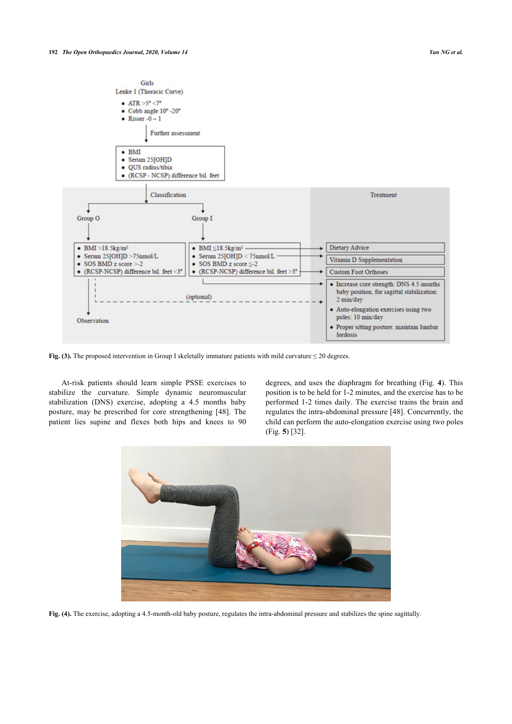

**Fig. (3).** The proposed intervention in Group I skeletally immature patients with mild curvature ≤ 20 degrees.

At-risk patients should learn simple PSSE exercises to stabilize the curvature. Simple dynamic neuromuscular stabilization (DNS) exercise, adopting a 4.5 months baby posture, may be prescribed for core strengthening[[48](#page-11-2)]. The patient lies supine and flexes both hips and knees to 90

degrees, and uses the diaphragm for breathing (Fig. **[4](#page-6-0)**). This position is to be held for 1-2 minutes, and the exercise has to be performed 1-2 times daily. The exercise trains the brain and regulates the intra-abdominal pressure [[48\]](#page-11-2). Concurrently, the child can perform the auto-elongation exercise using two poles (Fig. **[5](#page-6-1)**) [\[32](#page-10-21)].

<span id="page-6-1"></span><span id="page-6-0"></span>

**Fig. (4).** The exercise, adopting a 4.5-month-old baby posture, regulates the intra-abdominal pressure and stabilizes the spine sagittally.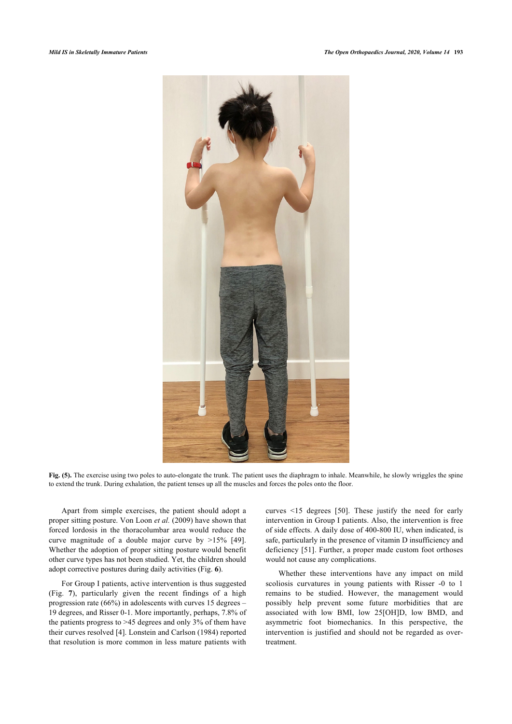

**Fig. (5).** The exercise using two poles to auto-elongate the trunk. The patient uses the diaphragm to inhale. Meanwhile, he slowly wriggles the spine to extend the trunk. During exhalation, the patient tenses up all the muscles and forces the poles onto the floor.

Apart from simple exercises, the patient should adopt a proper sitting posture. Von Loon *et al.* (2009) have shown that forced lordosis in the thoracolumbar area would reduce the curve magnitude of a double major curve by >15%[[49\]](#page-11-0). Whether the adoption of proper sitting posture would benefit other curve types has not been studied. Yet, the children should adopt corrective postures during daily activities (Fig. **[6](#page-7-0)**).

<span id="page-7-0"></span>For Group I patients, active intervention is thus suggested (Fig.**7**), particularly given the recent findings of a high progression rate (66%) in adolescents with curves 15 degrees – 19 degrees, and Risser 0-1. More importantly, perhaps, 7.8% of the patients progress to >45 degrees and only 3% of them have their curves resolved [[4](#page-9-3)]. Lonstein and Carlson (1984) reported that resolution is more common in less mature patients with curves <15 degrees[[50\]](#page-11-3). These justify the need for early intervention in Group I patients. Also, the intervention is free of side effects. A daily dose of 400-800 IU, when indicated, is safe, particularly in the presence of vitamin D insufficiency and deficiency [[51\]](#page-11-4). Further, a proper made custom foot orthoses would not cause any complications.

Whether these interventions have any impact on mild scoliosis curvatures in young patients with Risser -0 to 1 remains to be studied. However, the management would possibly help prevent some future morbidities that are associated with low BMI, low 25[OH]D, low BMD, and asymmetric foot biomechanics. In this perspective, the intervention is justified and should not be regarded as overtreatment.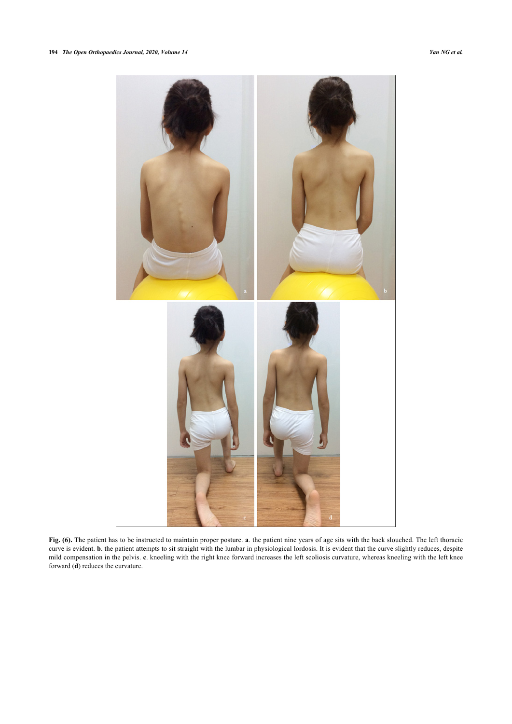<span id="page-8-0"></span>

**Fig. (6).** The patient has to be instructed to maintain proper posture. **a**. the patient nine years of age sits with the back slouched. The left thoracic curve is evident. **b**. the patient attempts to sit straight with the lumbar in physiological lordosis. It is evident that the curve slightly reduces, despite mild compensation in the pelvis. **c**. kneeling with the right knee forward increases the left scoliosis curvature, whereas kneeling with the left knee forward (**d**) reduces the curvature.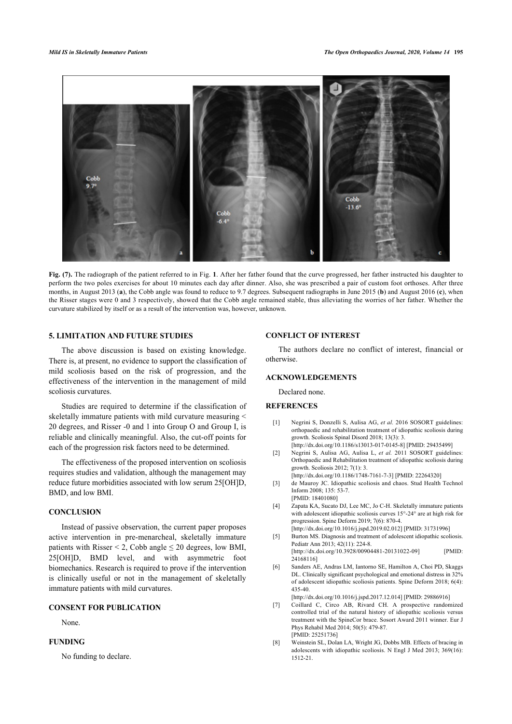

**Fig. (7).** The radiograph of the patient referred to in Fig. **[1](#page-1-0)**. After her father found that the curve progressed, her father instructed his daughter to perform the two poles exercises for about 10 minutes each day after dinner. Also, she was prescribed a pair of custom foot orthoses. After three months, in August 2013 (**a**), the Cobb angle was found to reduce to 9.7 degrees. Subsequent radiographs in June 2015 (**b**) and August 2016 (**c**), when the Risser stages were 0 and 3 respectively, showed that the Cobb angle remained stable, thus alleviating the worries of her father. Whether the curvature stabilized by itself or as a result of the intervention was, however, unknown.

# **5. LIMITATION AND FUTURE STUDIES**

The above discussion is based on existing knowledge. There is, at present, no evidence to support the classification of mild scoliosis based on the risk of progression, and the effectiveness of the intervention in the management of mild scoliosis curvatures.

<span id="page-9-0"></span>Studies are required to determine if the classification of skeletally immature patients with mild curvature measuring < 20 degrees, and Risser -0 and 1 into Group O and Group I, is reliable and clinically meaningful. Also, the cut-off points for each of the progression risk factors need to be determined.

<span id="page-9-2"></span><span id="page-9-1"></span>The effectiveness of the proposed intervention on scoliosis requires studies and validation, although the management may reduce future morbidities associated with low serum 25[OH]D, BMD, and low BMI.

# <span id="page-9-3"></span>**CONCLUSION**

<span id="page-9-5"></span><span id="page-9-4"></span>Instead of passive observation, the current paper proposes active intervention in pre-menarcheal, skeletally immature patients with Risser  $\leq$  2, Cobb angle  $\leq$  20 degrees, low BMI, 25[OH]D, BMD level, and with asymmetric foot biomechanics. Research is required to prove if the intervention is clinically useful or not in the management of skeletally immature patients with mild curvatures.

# <span id="page-9-6"></span>**CONSENT FOR PUBLICATION**

None.

# <span id="page-9-7"></span>**FUNDING**

No funding to declare.

#### **CONFLICT OF INTEREST**

The authors declare no conflict of interest, financial or otherwise.

# **ACKNOWLEDGEMENTS**

Declared none.

# **REFERENCES**

- [1] Negrini S, Donzelli S, Aulisa AG, *et al.* 2016 SOSORT guidelines: orthopaedic and rehabilitation treatment of idiopathic scoliosis during growth. Scoliosis Spinal Disord 2018; 13(3): 3. [\[http://dx.doi.org/10.1186/s13013-017-0145-8\]](http://dx.doi.org/10.1186/s13013-017-0145-8) [PMID: [29435499](http://www.ncbi.nlm.nih.gov/pubmed/29435499)]
- [2] Negrini S, Aulisa AG, Aulisa L, *et al.* 2011 SOSORT guidelines: Orthopaedic and Rehabilitation treatment of idiopathic scoliosis during growth. Scoliosis 2012; 7(1): 3. [\[http://dx.doi.org/10.1186/1748-7161-7-3](http://dx.doi.org/10.1186/1748-7161-7-3)] [PMID: [22264320](http://www.ncbi.nlm.nih.gov/pubmed/22264320)]
- [3] de Mauroy JC. Idiopathic scoliosis and chaos. Stud Health Technol Inform 2008; 135: 53-7. [PMID: [18401080\]](http://www.ncbi.nlm.nih.gov/pubmed/18401080)
- [4] Zapata KA, Sucato DJ, Lee MC, Jo C-H. Skeletally immature patients with adolescent idiopathic scoliosis curves 15°-24° are at high risk for progression. Spine Deform 2019; 7(6): 870-4.
- [\[http://dx.doi.org/10.1016/j.jspd.2019.02.012\]](http://dx.doi.org/10.1016/j.jspd.2019.02.012) [PMID: [31731996](http://www.ncbi.nlm.nih.gov/pubmed/31731996)] [5] Burton MS. Diagnosis and treatment of adolescent idiopathic scoliosis. Pediatr Ann 2013; 42(11): 224-8. [\[http://dx.doi.org/10.3928/00904481-20131022-09\]](http://dx.doi.org/10.3928/00904481-20131022-09) [PMID: 241681161
- [6] Sanders AE, Andras LM, Iantorno SE, Hamilton A, Choi PD, Skaggs DL. Clinically significant psychological and emotional distress in 32% of adolescent idiopathic scoliosis patients. Spine Deform 2018; 6(4): 435-40.

[\[http://dx.doi.org/10.1016/j.jspd.2017.12.014\]](http://dx.doi.org/10.1016/j.jspd.2017.12.014) [PMID: [29886916](http://www.ncbi.nlm.nih.gov/pubmed/29886916)]

- [7] Coillard C, Circo AB, Rivard CH. A prospective randomized controlled trial of the natural history of idiopathic scoliosis versus treatment with the SpineCor brace. Sosort Award 2011 winner. Eur J Phys Rehabil Med 2014; 50(5): 479-87. [PMID: [25251736\]](http://www.ncbi.nlm.nih.gov/pubmed/25251736)
- [8] Weinstein SL, Dolan LA, Wright JG, Dobbs MB. Effects of bracing in adolescents with idiopathic scoliosis. N Engl J Med 2013; 369(16): 1512-21.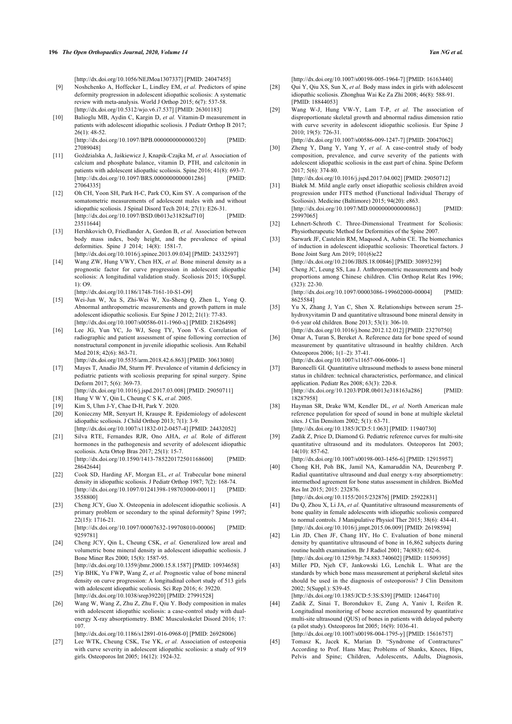- <span id="page-10-0"></span>[9] Noshchenko A, Hoffecker L, Lindley EM, *et al.* Predictors of spine deformity progression in adolescent idiopathic scoliosis: A systematic review with meta-analysis. World J Orthop 2015; 6(7): 537-58. [\[http://dx.doi.org/10.5312/wjo.v6.i7.537\]](http://dx.doi.org/10.5312/wjo.v6.i7.537) [PMID: [26301183](http://www.ncbi.nlm.nih.gov/pubmed/26301183)]
- <span id="page-10-18"></span><span id="page-10-1"></span>[10] Balioglu MB, Aydin C, Kargin D, *et al.* Vitamin-D measurement in patients with adolescent idiopathic scoliosis. J Pediatr Orthop B 2017; 26(1): 48-52. [\[http://dx.doi.org/10.1097/BPB.0000000000000320\]](http://dx.doi.org/10.1097/BPB.0000000000000320) [PMID:

270890481

- <span id="page-10-19"></span><span id="page-10-2"></span>[11] Goździalska A, Jaśkiewicz J, Knapik-Czajka M, *et al.* Association of calcium and phosphate balance, vitamin D, PTH, and calcitonin in patients with adolescent idiopathic scoliosis. Spine 2016; 41(8): 693-7. [\[http://dx.doi.org/10.1097/BRS.0000000000001286\]](http://dx.doi.org/10.1097/BRS.0000000000001286) [PMID: [27064335\]](http://www.ncbi.nlm.nih.gov/pubmed/27064335)
- <span id="page-10-20"></span><span id="page-10-3"></span>[12] Oh CH, Yoon SH, Park H-C, Park CO, Kim SY. A comparison of the somatometric measurements of adolescent males with and without idiopathic scoliosis. J Spinal Disord Tech 2014;  $27(1)$ : E26-31.<br>
Ibttp://dx.doi.org/10.1097/BSD.0b013e31828af7101 [PMID:  $[http://dx.doi.org/10.1097/BSD.0b013e31828af710]$  $[http://dx.doi.org/10.1097/BSD.0b013e31828af710]$ [23511644\]](http://www.ncbi.nlm.nih.gov/pubmed/23511644)
- <span id="page-10-22"></span><span id="page-10-21"></span><span id="page-10-4"></span>[13] Hershkovich O, Friedlander A, Gordon B, *et al.* Association between body mass index, body height, and the prevalence of spinal deformities. Spine J 2014; 14(8): 1581-7. [\[http://dx.doi.org/10.1016/j.spinee.2013.09.034\]](http://dx.doi.org/10.1016/j.spinee.2013.09.034) [PMID: [24332597](http://www.ncbi.nlm.nih.gov/pubmed/24332597)]
- <span id="page-10-23"></span><span id="page-10-5"></span>[14] Wang ZW, Hung VWY, Chen HX, et al. Bone mineral density as a prognostic factor for curve progression in adolescent idiopathic scoliosis: A longitudinal validation study. Scoliosis 2015; 10(Suppl. 1): O9.

[\[http://dx.doi.org/10.1186/1748-7161-10-S1-O9](http://dx.doi.org/10.1186/1748-7161-10-S1-O9)]

- <span id="page-10-24"></span><span id="page-10-6"></span>[15] Wei-Jun W, Xu S, Zhi-Wei W, Xu-Sheng Q, Zhen L, Yong Q. Abnormal anthropometric measurements and growth pattern in male adolescent idiopathic scoliosis. Eur Spine J 2012; 21(1): 77-83. [\[http://dx.doi.org/10.1007/s00586-011-1960-x](http://dx.doi.org/10.1007/s00586-011-1960-x)] [PMID: [21826498\]](http://www.ncbi.nlm.nih.gov/pubmed/21826498)
- <span id="page-10-25"></span><span id="page-10-7"></span>[16] Lee JG, Yun YC, Jo WJ, Seog TY, Yoon Y-S. Correlation of radiographic and patient assessment of spine following correction of nonstructural component in juvenile idiopathic scoliosis. Ann Rehabil Med 2018; 42(6): 863-71. [\[http://dx.doi.org/10.5535/arm.2018.42.6.863](http://dx.doi.org/10.5535/arm.2018.42.6.863)] [PMID: [30613080\]](http://www.ncbi.nlm.nih.gov/pubmed/30613080)
- <span id="page-10-8"></span>[17] Mayes T, Anadio JM, Sturm PF. Prevalence of vitamin d deficiency in pediatric patients with scoliosis preparing for spinal surgery. Spine Deform 2017; 5(6): 369-73.
- <span id="page-10-9"></span>[\[http://dx.doi.org/10.1016/j.jspd.2017.03.008](http://dx.doi.org/10.1016/j.jspd.2017.03.008)] [PMID: [29050711\]](http://www.ncbi.nlm.nih.gov/pubmed/29050711) [18] Hung V W Y, Qin L, Cheung C S K, *et al.* 2005.
- [19] Kim S, Uhm J-Y, Chae D-H, Park Y. 2020.
- <span id="page-10-11"></span><span id="page-10-10"></span>[20] Konieczny MR, Senyurt H, Krauspe R. Epidemiology of adolescent
- idiopathic scoliosis. J Child Orthop 2013; 7(1): 3-9. [\[http://dx.doi.org/10.1007/s11832-012-0457-4](http://dx.doi.org/10.1007/s11832-012-0457-4)] [PMID: [24432052\]](http://www.ncbi.nlm.nih.gov/pubmed/24432052)
- <span id="page-10-12"></span>[21] Silva RTE, Fernandes RJR, Ono AHA, *et al.* Role of different hormones in the pathogenesis and severity of adolescent idiopathic scoliosis. Acta Ortop Bras 2017; 25(1): 15-7. [\[http://dx.doi.org/10.1590/1413-785220172501168600\]](http://dx.doi.org/10.1590/1413-785220172501168600) [PMID: [28642644\]](http://www.ncbi.nlm.nih.gov/pubmed/28642644)
- <span id="page-10-26"></span><span id="page-10-13"></span>[22] Cook SD, Harding AF, Morgan EL, *et al.* Trabecular bone mineral density in idiopathic scoliosis. J Pediatr Orthop 1987; 7(2): 168-74. [\[http://dx.doi.org/10.1097/01241398-198703000-00011\]](http://dx.doi.org/10.1097/01241398-198703000-00011) [PMID: [3558800](http://www.ncbi.nlm.nih.gov/pubmed/3558800)]
- <span id="page-10-15"></span>[23] Cheng JCY, Guo X. Osteopenia in adolescent idiopathic scoliosis. A primary problem or secondary to the spinal deformity? Spine 1997; 22(15): 1716-21. [\[http://dx.doi.org/10.1097/00007632-199708010-00006\]](http://dx.doi.org/10.1097/00007632-199708010-00006) [PMID: [9259781](http://www.ncbi.nlm.nih.gov/pubmed/9259781)]
- [24] Cheng JCY, Qin L, Cheung CSK, *et al.* Generalized low areal and volumetric bone mineral density in adolescent idiopathic scoliosis. J Bone Miner Res 2000; 15(8): 1587-95. [\[http://dx.doi.org/10.1359/jbmr.2000.15.8.1587\]](http://dx.doi.org/10.1359/jbmr.2000.15.8.1587) [PMID: [10934658\]](http://www.ncbi.nlm.nih.gov/pubmed/10934658)
- <span id="page-10-16"></span>[25] Yip BHK, Yu FWP, Wang Z, et al. Prognostic value of bone mineral density on curve progression: A longitudinal cohort study of 513 girls with adolescent idiopathic scoliosis. Sci Rep 2016; 6: 39220. [\[http://dx.doi.org/10.1038/srep39220](http://dx.doi.org/10.1038/srep39220)] [PMID: [27991528\]](http://www.ncbi.nlm.nih.gov/pubmed/27991528)
- <span id="page-10-14"></span>[26] Wang W, Wang Z, Zhu Z, Zhu F, Qiu Y. Body composition in males with adolescent idiopathic scoliosis: a case-control study with dualenergy X-ray absorptiometry. BMC Musculoskelet Disord 2016; 17: 107.

[\[http://dx.doi.org/10.1186/s12891-016-0968-0](http://dx.doi.org/10.1186/s12891-016-0968-0)] [PMID: [26928006\]](http://www.ncbi.nlm.nih.gov/pubmed/26928006)

<span id="page-10-17"></span>[27] Lee WTK, Cheung CSK, Tse YK, et al. Association of osteopenia with curve severity in adolescent idiopathic scoliosis: a study of 919 girls. Osteoporos Int 2005; 16(12): 1924-32.

[\[http://dx.doi.org/10.1007/s00198-005-1964-7\]](http://dx.doi.org/10.1007/s00198-005-1964-7) [PMID: [16163440](http://www.ncbi.nlm.nih.gov/pubmed/16163440)]

- [28] Qui Y, Qiu XS, Sun X, *et al.* Body mass index in girls with adolescent idiopathic scoliosis. Zhonghua Wai Ke Za Zhi 2008; 46(8): 588-91. [PMID: [18844053\]](http://www.ncbi.nlm.nih.gov/pubmed/18844053)
- [29] Wang W-J, Hung VW-Y, Lam T-P, *et al.* The association of disproportionate skeletal growth and abnormal radius dimension ratio with curve severity in adolescent idiopathic scoliosis. Eur Spine J 2010; 19(5): 726-31. [\[http://dx.doi.org/10.1007/s00586-009-1247-7\]](http://dx.doi.org/10.1007/s00586-009-1247-7) [PMID: [20047062](http://www.ncbi.nlm.nih.gov/pubmed/20047062)]
- [30] Zheng Y, Dang Y, Yang Y, *et al.* A case-control study of body composition, prevalence, and curve severity of the patients with adolescent idiopathic scoliosis in the east part of china. Spine Deform 2017; 5(6): 374-80.

[\[http://dx.doi.org/10.1016/j.jspd.2017.04.002\]](http://dx.doi.org/10.1016/j.jspd.2017.04.002) [PMID: [29050712](http://www.ncbi.nlm.nih.gov/pubmed/29050712)]

- [31] Białek M. Mild angle early onset idiopathic scoliosis children avoid progression under FITS method (Functional Individual Therapy of Scoliosis). Medicine (Baltimore) 2015; 94(20): e863. [\[http://dx.doi.org/10.1097/MD.0000000000000863](http://dx.doi.org/10.1097/MD.0000000000000863)] [PMID: [25997065\]](http://www.ncbi.nlm.nih.gov/pubmed/25997065)
- [32] Lehnert-Schroth C. Three-Dimensional Treatment for Scoliosis: Physiotherapeutic Method for Deformities of the Spine 2007.
- [33] Sarwark JF, Castelein RM, Maqsood A, Aubin CE. The biomechanics of induction in adolescent idiopathic scoliosis: Theoretical factors. J Bone Joint Surg Am 2019; 101(6)e22 [\[http://dx.doi.org/10.2106/JBJS.18.00846](http://dx.doi.org/10.2106/JBJS.18.00846)] [PMID: [30893239](http://www.ncbi.nlm.nih.gov/pubmed/30893239)]
- [34] Cheng JC, Leung SS, Lau J. Anthropometric measurements and body proportions among Chinese children. Clin Orthop Relat Res 1996; (323): 22-30. [\[http://dx.doi.org/10.1097/00003086-199602000-00004](http://dx.doi.org/10.1097/00003086-199602000-00004)] [PMID:

[8625584](http://www.ncbi.nlm.nih.gov/pubmed/8625584)]

- [35] Yu X, Zhang J, Yan C, Shen X. Relationships between serum 25 hydroxyvitamin D and quantitative ultrasound bone mineral density in 0-6 year old children. Bone 2013; 53(1): 306-10. [\[http://dx.doi.org/10.1016/j.bone.2012.12.012\]](http://dx.doi.org/10.1016/j.bone.2012.12.012) [PMID: [23270750](http://www.ncbi.nlm.nih.gov/pubmed/23270750)]
- [36] Omar A, Turan S, Bereket A. Reference data for bone speed of sound measurement by quantitative ultrasound in healthy children. Arch Osteoporos 2006; 1(1–2): 37-41. [\[http://dx.doi.org/10.1007/s11657-006-0006-1\]](http://dx.doi.org/10.1007/s11657-006-0006-1)
- [37] Baroncelli GI. Quantitative ultrasound methods to assess bone mineral status in children: technical characteristics, performance, and clinical application. Pediatr Res 2008; 63(3): 220-8. [\[http://dx.doi.org/10.1203/PDR.0b013e318163a286\]](http://dx.doi.org/10.1203/PDR.0b013e318163a286) [PMID: [18287958\]](http://www.ncbi.nlm.nih.gov/pubmed/18287958)
- [38] Hayman SR, Drake WM, Kendler DL, *et al.* North American male reference population for speed of sound in bone at multiple skeletal sites. J Clin Densitom 2002; 5(1): 63-71. [\[http://dx.doi.org/10.1385/JCD:5:1:063](http://dx.doi.org/10.1385/JCD:5:1:063)] [PMID: [11940730\]](http://www.ncbi.nlm.nih.gov/pubmed/11940730)
- [39] Zadik Z, Price D, Diamond G. Pediatric reference curves for multi-site quantitative ultrasound and its modulators. Osteoporos Int 2003; 14(10): 857-62.

[\[http://dx.doi.org/10.1007/s00198-003-1456-6\]](http://dx.doi.org/10.1007/s00198-003-1456-6) [PMID: [12915957](http://www.ncbi.nlm.nih.gov/pubmed/12915957)]

- [40] Chong KH, Poh BK, Jamil NA, Kamaruddin NA, Deurenberg P. Radial quantitative ultrasound and dual energy x-ray absorptiometry: intermethod agreement for bone status assessment in children. BioMed Res Int 2015; 2015: 232876. [\[http://dx.doi.org/10.1155/2015/232876](http://dx.doi.org/10.1155/2015/232876)] [PMID: [25922831](http://www.ncbi.nlm.nih.gov/pubmed/25922831)]
- [41] Du Q, Zhou X, Li JA, *et al.* Quantitative ultrasound measurements of bone quality in female adolescents with idiopathic scoliosis compared to normal controls. J Manipulative Physiol Ther 2015; 38(6): 434-41. [\[http://dx.doi.org/10.1016/j.jmpt.2015.06.009\]](http://dx.doi.org/10.1016/j.jmpt.2015.06.009) [PMID: [26198594](http://www.ncbi.nlm.nih.gov/pubmed/26198594)]
- [42] Lin JD, Chen JF, Chang HY, Ho C. Evaluation of bone mineral density by quantitative ultrasound of bone in 16,862 subjects during routine health examination. Br J Radiol 2001; 74(883): 602-6. [\[http://dx.doi.org/10.1259/bjr.74.883.740602\]](http://dx.doi.org/10.1259/bjr.74.883.740602) [PMID: [11509395\]](http://www.ncbi.nlm.nih.gov/pubmed/11509395)
- [43] Miller PD, Nieh CF, Jankowski LG, Lenchik L. What are the standards by which bone mass measurement at peripheral skeletal sites should be used in the diagnosis of osteoporosis? J Clin Densitom 2002; 5(Suppl.): S39-45. [\[http://dx.doi.org/10.1385/JCD:5:3S:S39\]](http://dx.doi.org/10.1385/JCD:5:3S:S39) [PMID: [12464710](http://www.ncbi.nlm.nih.gov/pubmed/12464710)]
- [44] Zadik Z, Sinai T, Borondukov E, Zung A, Yaniv I, Reifen R. Longitudinal monitoring of bone accretion measured by quantitative multi-site ultrasound (QUS) of bones in patients with delayed puberty (a pilot study). Osteoporos Int 2005; 16(9): 1036-41. [\[http://dx.doi.org/10.1007/s00198-004-1795-y\]](http://dx.doi.org/10.1007/s00198-004-1795-y) [PMID: [15616757](http://www.ncbi.nlm.nih.gov/pubmed/15616757)]
- [45] Tomasz K, Jacek K, Marian D. "Syndrome of Contractures" According to Prof. Hans Mau; Problems of Shanks, Knees, Hips, Pelvis and Spine; Children, Adolescents, Adults, Diagnosis,